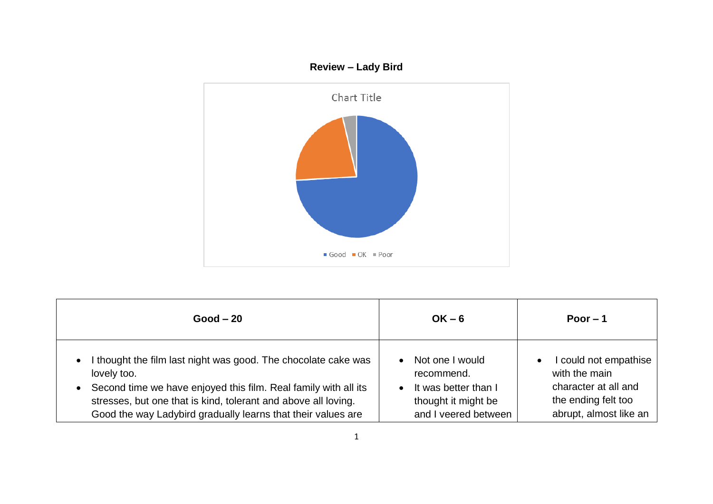

| $Good - 20$                                                                                                                                                                                                                                                                                                  | $OK - 6$                                                                                                                       | Poor $-1$                                                                                                                    |
|--------------------------------------------------------------------------------------------------------------------------------------------------------------------------------------------------------------------------------------------------------------------------------------------------------------|--------------------------------------------------------------------------------------------------------------------------------|------------------------------------------------------------------------------------------------------------------------------|
| I thought the film last night was good. The chocolate cake was<br>$\bullet$<br>lovely too.<br>Second time we have enjoyed this film. Real family with all its<br>$\bullet$<br>stresses, but one that is kind, tolerant and above all loving.<br>Good the way Ladybird gradually learns that their values are | Not one I would<br>$\bullet$<br>recommend.<br>It was better than I<br>$\bullet$<br>thought it might be<br>and I veered between | I could not empathise<br>$\bullet$<br>with the main<br>character at all and<br>the ending felt too<br>abrupt, almost like an |